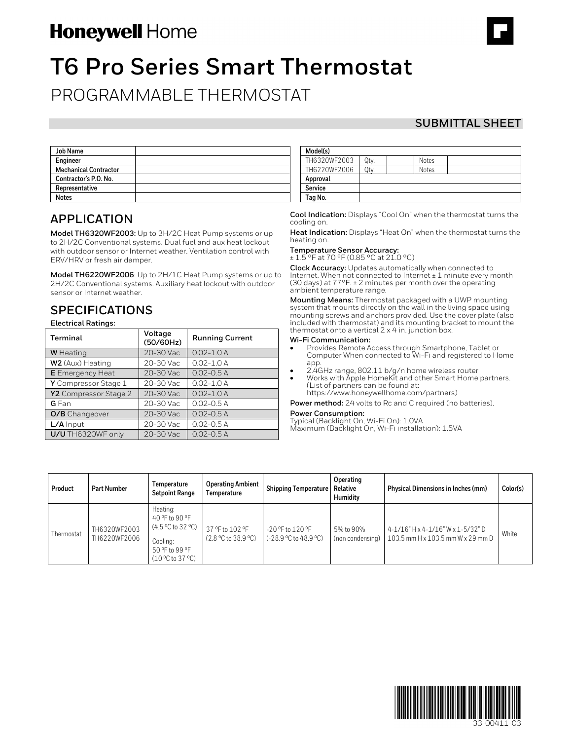# Honeywell Home

# **T6 Pro Series Smart Thermostat**

PROGRAMMABLE THERMOSTAT

### **SUBMITTAL SHEET**

| <b>Job Name</b>              |  |
|------------------------------|--|
| Engineer                     |  |
| <b>Mechanical Contractor</b> |  |
| Contractor's P.O. No.        |  |
| Representative               |  |
| <b>Notes</b>                 |  |

### **APPLICATION**

**Model TH6320WF2003:** Up to 3H/2C Heat Pump systems or up to 2H/2C Conventional systems. Dual fuel and aux heat lockout with outdoor sensor or Internet weather. Ventilation control with ERV/HRV or fresh air damper.

**Model TH6220WF2006**: Up to 2H/1C Heat Pump systems or up to 2H/2C Conventional systems. Auxiliary heat lockout with outdoor sensor or Internet weather.

# **SPECIFICATIONS**

**Electrical Ratings:**

| Terminal                | Voltage<br>(50/60Hz) | <b>Running Current</b> |  |
|-------------------------|----------------------|------------------------|--|
| <b>W</b> Heating        | 20-30 Vac            | $0.02 - 1.0 A$         |  |
| W2 (Aux) Heating        | 20-30 Vac            | $0.02 - 1.0 A$         |  |
| <b>E</b> Emergency Heat | 20-30 Vac            | $0.02 - 0.5 A$         |  |
| Y Compressor Stage 1    | 20-30 Vac            | $0.02 - 1.0A$          |  |
| Y2 Compressor Stage 2   | 20-30 Vac            | $0.02 - 1.0$ A         |  |
| <b>G</b> Fan            | 20-30 Vac            | $0.02 - 0.5 A$         |  |
| <b>O/B</b> Changeover   | 20-30 Vac            | $0.02 - 0.5$ A         |  |
| $L/A$ Input             | 20-30 Vac            | $0.02 - 0.5$ A         |  |
| U/U TH6320WF only       | 20-30 Vac            | $0.02 - 0.5$ A         |  |

| Model(s)     |     |              |  |
|--------------|-----|--------------|--|
| TH6320WF2003 | Qty | <b>Notes</b> |  |
| TH6220WF2006 | Qtv | <b>Notes</b> |  |
| Approval     |     |              |  |
| Service      |     |              |  |
| Tag No.      |     |              |  |

**Cool Indication:** Displays "Cool On" when the thermostat turns the cooling on.

**Heat Indication:** Displays "Heat On" when the thermostat turns the heating on.

## **Temperature Sensor Accuracy:** ± 1.5 °F at 70 °F (0.85 °C at 21.0 °C)

**Clock Accuracy:** Updates automatically when connected to Internet. When not connected to Internet ± 1 minute every month (30 days) at 77°F. ± 2 minutes per month over the operating ambient temperature range.

**Mounting Means:** Thermostat packaged with a UWP mounting system that mounts directly on the wall in the living space using mounting screws and anchors provided. Use the cover plate (also included with thermostat) and its mounting bracket to mount the thermostat onto a vertical 2 x 4 in. junction box.

#### **Wi-Fi Communication:**

- Provides Remote Access through Smartphone, Tablet or Computer When connected to Wi-Fi and registered to Home app.
- 2.4GHz range, 802.11 b/g/n home wireless router
- Works with Apple HomeKit and other Smart Home partners. (List of partners can be found at: https://www.honeywellhome.com/partners)

**Power method:** 24 volts to Rc and C required (no batteries).

**Power Consumption:**<br>Typical (Backlight On, Wi-Fi On): 1.0VA

Maximum (Backlight On, Wi-Fi installation): 1.5VA

| Product    | Part Number                  | Temperature<br><b>Setpoint Range</b>                                                                    | <b>Operating Ambient</b><br>Temperature | <b>Shipping Temperature   Relative</b>          | Operating<br><b>Humidity</b>  | Physical Dimensions in Inches (mm)                                     | Color(s) |
|------------|------------------------------|---------------------------------------------------------------------------------------------------------|-----------------------------------------|-------------------------------------------------|-------------------------------|------------------------------------------------------------------------|----------|
| Thermostat | TH6320WF2003<br>TH6220WF2006 | Heating:<br>40 °F to 90 °F<br>$(4.5 °C)$ to 32 °C)<br>Cooling:<br>50 °F to 99 °F<br>$(10 °C)$ to 37 °C) | 37 °F to 102 °F<br>(2.8 °C to 38.9 °C)  | -20 °F to 120 °F<br>$(-28.9 °C)$ to $48.9 °C$ ) | 5% to 90%<br>(non condensing) | 4-1/16" H x 4-1/16" W x 1-5/32" D<br>103.5 mm H x 103.5 mm W x 29 mm D | White    |